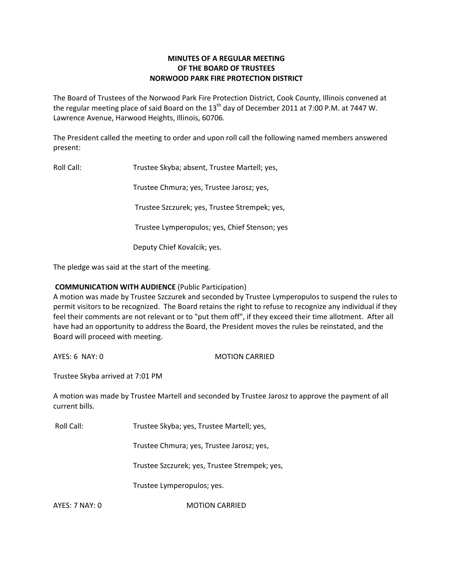# **MINUTES OF A REGULAR MEETING OF THE BOARD OF TRUSTEES NORWOOD PARK FIRE PROTECTION DISTRICT**

The Board of Trustees of the Norwood Park Fire Protection District, Cook County, Illinois convened at the regular meeting place of said Board on the  $13<sup>th</sup>$  day of December 2011 at 7:00 P.M. at 7447 W. Lawrence Avenue, Harwood Heights, Illinois, 60706.

The President called the meeting to order and upon roll call the following named members answered present:

Roll Call: Trustee Skyba; absent, Trustee Martell; yes, Trustee Chmura; yes, Trustee Jarosz; yes, Trustee Szczurek; yes, Trustee Strempek; yes, Trustee Lymperopulos; yes, Chief Stenson; yes Deputy Chief Kovalcik; yes.

The pledge was said at the start of the meeting.

## **COMMUNICATION WITH AUDIENCE** (Public Participation)

A motion was made by Trustee Szczurek and seconded by Trustee Lymperopulos to suspend the rules to permit visitors to be recognized. The Board retains the right to refuse to recognize any individual if they feel their comments are not relevant or to "put them off", if they exceed their time allotment. After all have had an opportunity to address the Board, the President moves the rules be reinstated, and the Board will proceed with meeting.

AYES: 6 NAY: 0 MOTION CARRIED

Trustee Skyba arrived at 7:01 PM

A motion was made by Trustee Martell and seconded by Trustee Jarosz to approve the payment of all current bills.

Roll Call: Trustee Skyba; yes, Trustee Martell; yes,

Trustee Chmura; yes, Trustee Jarosz; yes,

Trustee Szczurek; yes, Trustee Strempek; yes,

Trustee Lymperopulos; yes.

AYES: 7 NAY: 0 MOTION CARRIED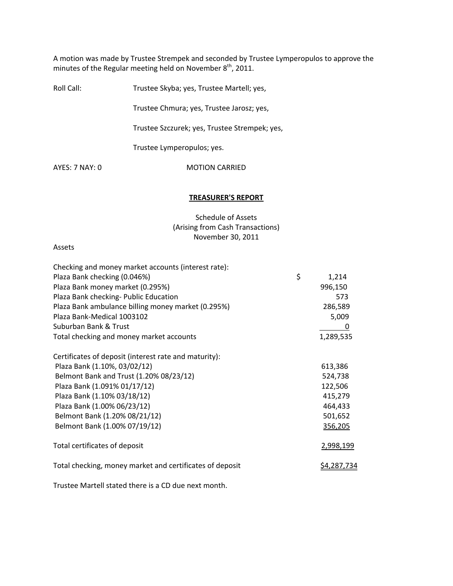A motion was made by Trustee Strempek and seconded by Trustee Lymperopulos to approve the minutes of the Regular meeting held on November  $8^{th}$ , 2011.

| Roll Call:     | Trustee Skyba; yes, Trustee Martell; yes,     |
|----------------|-----------------------------------------------|
|                | Trustee Chmura; yes, Trustee Jarosz; yes,     |
|                | Trustee Szczurek; yes, Trustee Strempek; yes, |
|                | Trustee Lymperopulos; yes.                    |
| AYFS: 7 NAY: 0 | <b>MOTION CARRIED</b>                         |
|                |                                               |

### **TREASURER'S REPORT**

Schedule of Assets (Arising from Cash Transactions) November 30, 2011

### Assets

| Checking and money market accounts (interest rate):      |             |
|----------------------------------------------------------|-------------|
| Plaza Bank checking (0.046%)                             | \$<br>1,214 |
| Plaza Bank money market (0.295%)                         | 996,150     |
| Plaza Bank checking- Public Education                    | 573         |
| Plaza Bank ambulance billing money market (0.295%)       | 286,589     |
| Plaza Bank-Medical 1003102                               | 5,009       |
| Suburban Bank & Trust                                    | 0           |
| Total checking and money market accounts                 | 1,289,535   |
| Certificates of deposit (interest rate and maturity):    |             |
| Plaza Bank (1.10%, 03/02/12)                             | 613,386     |
| Belmont Bank and Trust (1.20% 08/23/12)                  | 524,738     |
| Plaza Bank (1.091% 01/17/12)                             | 122,506     |
| Plaza Bank (1.10% 03/18/12)                              | 415,279     |
| Plaza Bank (1.00% 06/23/12)                              | 464,433     |
| Belmont Bank (1.20% 08/21/12)                            | 501,652     |
| Belmont Bank (1.00% 07/19/12)                            | 356,205     |
| Total certificates of deposit                            | 2,998,199   |
| Total checking, money market and certificates of deposit | \$4,287,734 |
|                                                          |             |

Trustee Martell stated there is a CD due next month.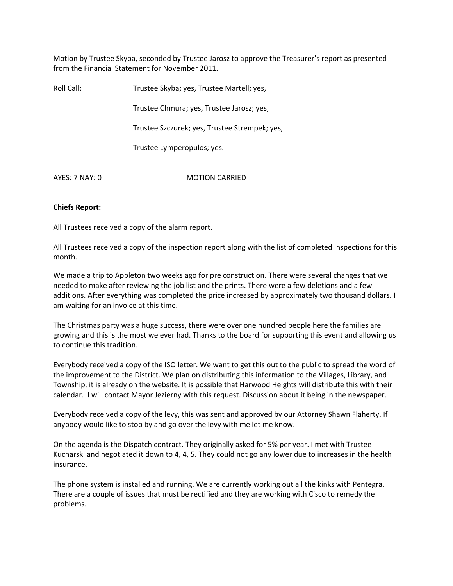Motion by Trustee Skyba, seconded by Trustee Jarosz to approve the Treasurer's report as presented from the Financial Statement for November 2011**.**

| Roll Call:     | Trustee Skyba; yes, Trustee Martell; yes,     |
|----------------|-----------------------------------------------|
|                | Trustee Chmura; yes, Trustee Jarosz; yes,     |
|                | Trustee Szczurek; yes, Trustee Strempek; yes, |
|                | Trustee Lymperopulos; yes.                    |
| AYES: 7 NAY: 0 | <b>MOTION CARRIED</b>                         |

## **Chiefs Report:**

All Trustees received a copy of the alarm report.

All Trustees received a copy of the inspection report along with the list of completed inspections for this month.

We made a trip to Appleton two weeks ago for pre construction. There were several changes that we needed to make after reviewing the job list and the prints. There were a few deletions and a few additions. After everything was completed the price increased by approximately two thousand dollars. I am waiting for an invoice at this time.

The Christmas party was a huge success, there were over one hundred people here the families are growing and this is the most we ever had. Thanks to the board for supporting this event and allowing us to continue this tradition.

Everybody received a copy of the ISO letter. We want to get this out to the public to spread the word of the improvement to the District. We plan on distributing this information to the Villages, Library, and Township, it is already on the website. It is possible that Harwood Heights will distribute this with their calendar. I will contact Mayor Jezierny with this request. Discussion about it being in the newspaper.

Everybody received a copy of the levy, this was sent and approved by our Attorney Shawn Flaherty. If anybody would like to stop by and go over the levy with me let me know.

On the agenda is the Dispatch contract. They originally asked for 5% per year. I met with Trustee Kucharski and negotiated it down to 4, 4, 5. They could not go any lower due to increases in the health insurance.

The phone system is installed and running. We are currently working out all the kinks with Pentegra. There are a couple of issues that must be rectified and they are working with Cisco to remedy the problems.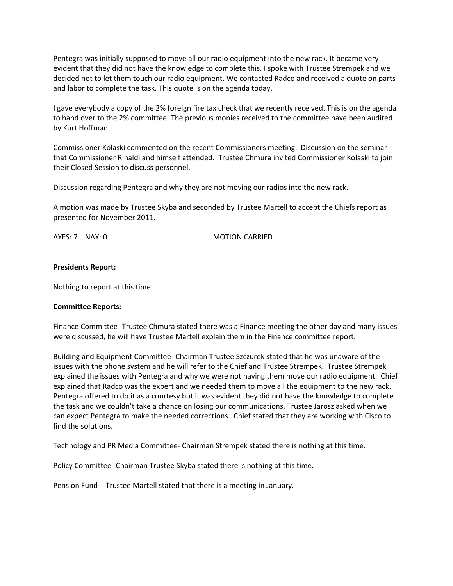Pentegra was initially supposed to move all our radio equipment into the new rack. It became very evident that they did not have the knowledge to complete this. I spoke with Trustee Strempek and we decided not to let them touch our radio equipment. We contacted Radco and received a quote on parts and labor to complete the task. This quote is on the agenda today.

I gave everybody a copy of the 2% foreign fire tax check that we recently received. This is on the agenda to hand over to the 2% committee. The previous monies received to the committee have been audited by Kurt Hoffman.

Commissioner Kolaski commented on the recent Commissioners meeting. Discussion on the seminar that Commissioner Rinaldi and himself attended. Trustee Chmura invited Commissioner Kolaski to join their Closed Session to discuss personnel.

Discussion regarding Pentegra and why they are not moving our radios into the new rack.

A motion was made by Trustee Skyba and seconded by Trustee Martell to accept the Chiefs report as presented for November 2011.

AYES: 7 NAY: 0 MOTION CARRIED

### **Presidents Report:**

Nothing to report at this time.

### **Committee Reports:**

Finance Committee‐ Trustee Chmura stated there was a Finance meeting the other day and many issues were discussed, he will have Trustee Martell explain them in the Finance committee report.

Building and Equipment Committee‐ Chairman Trustee Szczurek stated that he was unaware of the issues with the phone system and he will refer to the Chief and Trustee Strempek. Trustee Strempek explained the issues with Pentegra and why we were not having them move our radio equipment. Chief explained that Radco was the expert and we needed them to move all the equipment to the new rack. Pentegra offered to do it as a courtesy but it was evident they did not have the knowledge to complete the task and we couldn't take a chance on losing our communications. Trustee Jarosz asked when we can expect Pentegra to make the needed corrections. Chief stated that they are working with Cisco to find the solutions.

Technology and PR Media Committee‐ Chairman Strempek stated there is nothing at this time.

Policy Committee‐ Chairman Trustee Skyba stated there is nothing at this time.

Pension Fund- Trustee Martell stated that there is a meeting in January.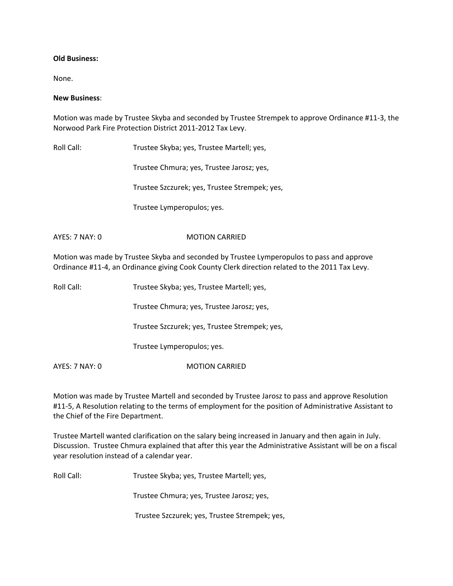## **Old Business:**

None.

### **New Business**:

Motion was made by Trustee Skyba and seconded by Trustee Strempek to approve Ordinance #11‐3, the Norwood Park Fire Protection District 2011‐2012 Tax Levy.

Roll Call: Trustee Skyba; yes, Trustee Martell; yes,

Trustee Chmura; yes, Trustee Jarosz; yes,

Trustee Szczurek; yes, Trustee Strempek; yes,

Trustee Lymperopulos; yes.

# AYES: 7 NAY: 0 MOTION CARRIED

Motion was made by Trustee Skyba and seconded by Trustee Lymperopulos to pass and approve Ordinance #11‐4, an Ordinance giving Cook County Clerk direction related to the 2011 Tax Levy.

Roll Call: Trustee Skyba; yes, Trustee Martell; yes,

Trustee Chmura; yes, Trustee Jarosz; yes,

Trustee Szczurek; yes, Trustee Strempek; yes,

Trustee Lymperopulos; yes.

AYES: 7 NAY: 0 MOTION CARRIED

Motion was made by Trustee Martell and seconded by Trustee Jarosz to pass and approve Resolution #11-5, A Resolution relating to the terms of employment for the position of Administrative Assistant to the Chief of the Fire Department.

Trustee Martell wanted clarification on the salary being increased in January and then again in July. Discussion. Trustee Chmura explained that after this year the Administrative Assistant will be on a fiscal year resolution instead of a calendar year.

Roll Call: Trustee Skyba; yes, Trustee Martell; yes,

Trustee Chmura; yes, Trustee Jarosz; yes,

Trustee Szczurek; yes, Trustee Strempek; yes,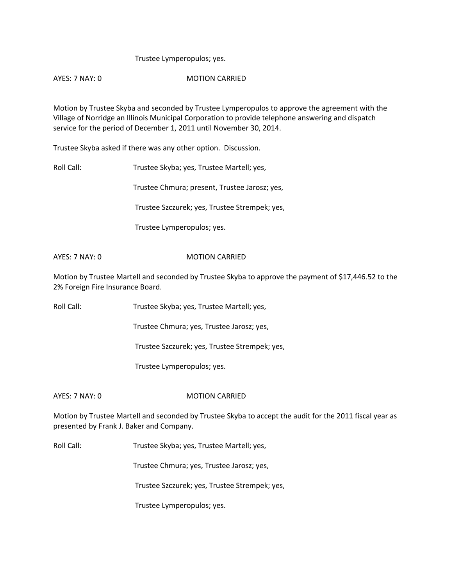## Trustee Lymperopulos; yes.

## AYES: 7 NAY: 0 MOTION CARRIED

Motion by Trustee Skyba and seconded by Trustee Lymperopulos to approve the agreement with the Village of Norridge an Illinois Municipal Corporation to provide telephone answering and dispatch service for the period of December 1, 2011 until November 30, 2014.

Trustee Skyba asked if there was any other option. Discussion.

Roll Call: Trustee Skyba; yes, Trustee Martell; yes,

Trustee Chmura; present, Trustee Jarosz; yes,

Trustee Szczurek; yes, Trustee Strempek; yes,

Trustee Lymperopulos; yes.

## AYES: 7 NAY: 0 MOTION CARRIED

Motion by Trustee Martell and seconded by Trustee Skyba to approve the payment of \$17,446.52 to the 2% Foreign Fire Insurance Board.

Roll Call: Trustee Skyba; yes, Trustee Martell; yes,

Trustee Chmura; yes, Trustee Jarosz; yes,

Trustee Szczurek; yes, Trustee Strempek; yes,

Trustee Lymperopulos; yes.

## AYES: 7 NAY: 0 MOTION CARRIED

Motion by Trustee Martell and seconded by Trustee Skyba to accept the audit for the 2011 fiscal year as presented by Frank J. Baker and Company.

Roll Call: Trustee Skyba; yes, Trustee Martell; yes,

Trustee Chmura; yes, Trustee Jarosz; yes,

Trustee Szczurek; yes, Trustee Strempek; yes,

Trustee Lymperopulos; yes.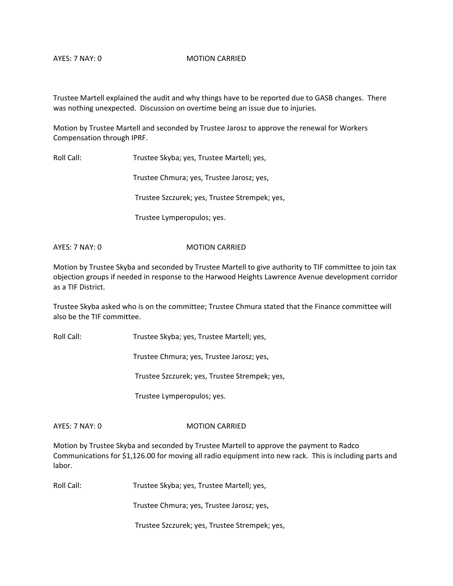### AYES: 7 NAY: 0 MOTION CARRIED

Trustee Martell explained the audit and why things have to be reported due to GASB changes. There was nothing unexpected. Discussion on overtime being an issue due to injuries.

Motion by Trustee Martell and seconded by Trustee Jarosz to approve the renewal for Workers Compensation through IPRF.

Roll Call: Trustee Skyba; yes, Trustee Martell; yes,

Trustee Chmura; yes, Trustee Jarosz; yes,

Trustee Szczurek; yes, Trustee Strempek; yes,

Trustee Lymperopulos; yes.

AYES: 7 NAY: 0 MOTION CARRIED

Motion by Trustee Skyba and seconded by Trustee Martell to give authority to TIF committee to join tax objection groups if needed in response to the Harwood Heights Lawrence Avenue development corridor as a TIF District.

Trustee Skyba asked who is on the committee; Trustee Chmura stated that the Finance committee will also be the TIF committee.

Roll Call: Trustee Skyba; yes, Trustee Martell; yes,

Trustee Chmura; yes, Trustee Jarosz; yes,

Trustee Szczurek; yes, Trustee Strempek; yes,

Trustee Lymperopulos; yes.

### AYES: 7 NAY: 0 MOTION CARRIED

Motion by Trustee Skyba and seconded by Trustee Martell to approve the payment to Radco Communications for \$1,126.00 for moving all radio equipment into new rack. This is including parts and labor.

Roll Call: Trustee Skyba; yes, Trustee Martell; yes,

Trustee Chmura; yes, Trustee Jarosz; yes,

Trustee Szczurek; yes, Trustee Strempek; yes,